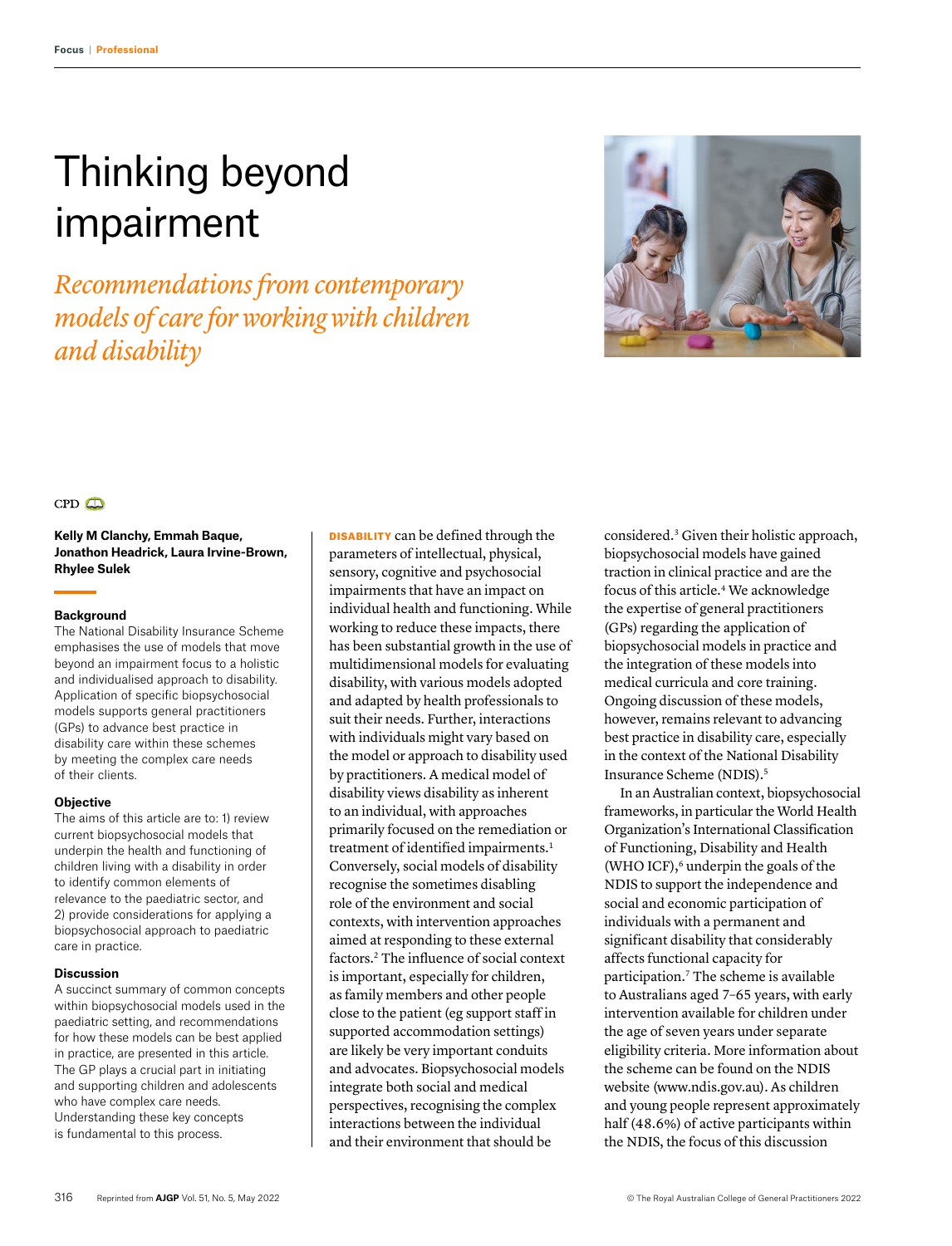# Thinking beyond impairment

*Recommendations from contemporary models of care for working with children and disability*



## $CPD$

**Kelly M Clanchy, Emmah Baque, Jonathon Headrick, Laura Irvine‑Brown, Rhylee Sulek** 

## **Background**

The National Disability Insurance Scheme emphasises the use of models that move beyond an impairment focus to a holistic and individualised approach to disability. Application of specific biopsychosocial models supports general practitioners (GPs) to advance best practice in disability care within these schemes by meeting the complex care needs of their clients.

## **Objective**

The aims of this article are to: 1) review current biopsychosocial models that underpin the health and functioning of children living with a disability in order to identify common elements of relevance to the paediatric sector, and 2) provide considerations for applying a biopsychosocial approach to paediatric care in practice.

#### **Discussion**

A succinct summary of common concepts within biopsychosocial models used in the paediatric setting, and recommendations for how these models can be best applied in practice, are presented in this article. The GP plays a crucial part in initiating and supporting children and adolescents who have complex care needs. Understanding these key concepts is fundamental to this process.

DISABILITY can be defined through the parameters of intellectual, physical, sensory, cognitive and psychosocial impairments that have an impact on individual health and functioning. While working to reduce these impacts, there has been substantial growth in the use of multidimensional models for evaluating disability, with various models adopted and adapted by health professionals to suit their needs. Further, interactions with individuals might vary based on the model or approach to disability used by practitioners. A medical model of disability views disability as inherent to an individual, with approaches primarily focused on the remediation or treatment of identified impairments.<sup>1</sup> Conversely, social models of disability recognise the sometimes disabling role of the environment and social contexts, with intervention approaches aimed at responding to these external factors.2 The influence of social context is important, especially for children, as family members and other people close to the patient (eg support staff in supported accommodation settings) are likely be very important conduits and advocates. Biopsychosocial models integrate both social and medical perspectives, recognising the complex interactions between the individual and their environment that should be

considered.3 Given their holistic approach, biopsychosocial models have gained traction in clinical practice and are the focus of this article.4 We acknowledge the expertise of general practitioners (GPs) regarding the application of biopsychosocial models in practice and the integration of these models into medical curricula and core training. Ongoing discussion of these models, however, remains relevant to advancing best practice in disability care, especially in the context of the National Disability Insurance Scheme (NDIS).5

In an Australian context, biopsychosocial frameworks, in particular the World Health Organization's International Classification of Functioning, Disability and Health (WHO ICF), $6$  underpin the goals of the NDIS to support the independence and social and economic participation of individuals with a permanent and significant disability that considerably affects functional capacity for participation.7 The scheme is available to Australians aged 7–65 years, with early intervention available for children under the age of seven years under separate eligibility criteria. More information about the scheme can be found on the NDIS website (www.ndis.gov.au). As children and young people represent approximately half (48.6%) of active participants within the NDIS, the focus of this discussion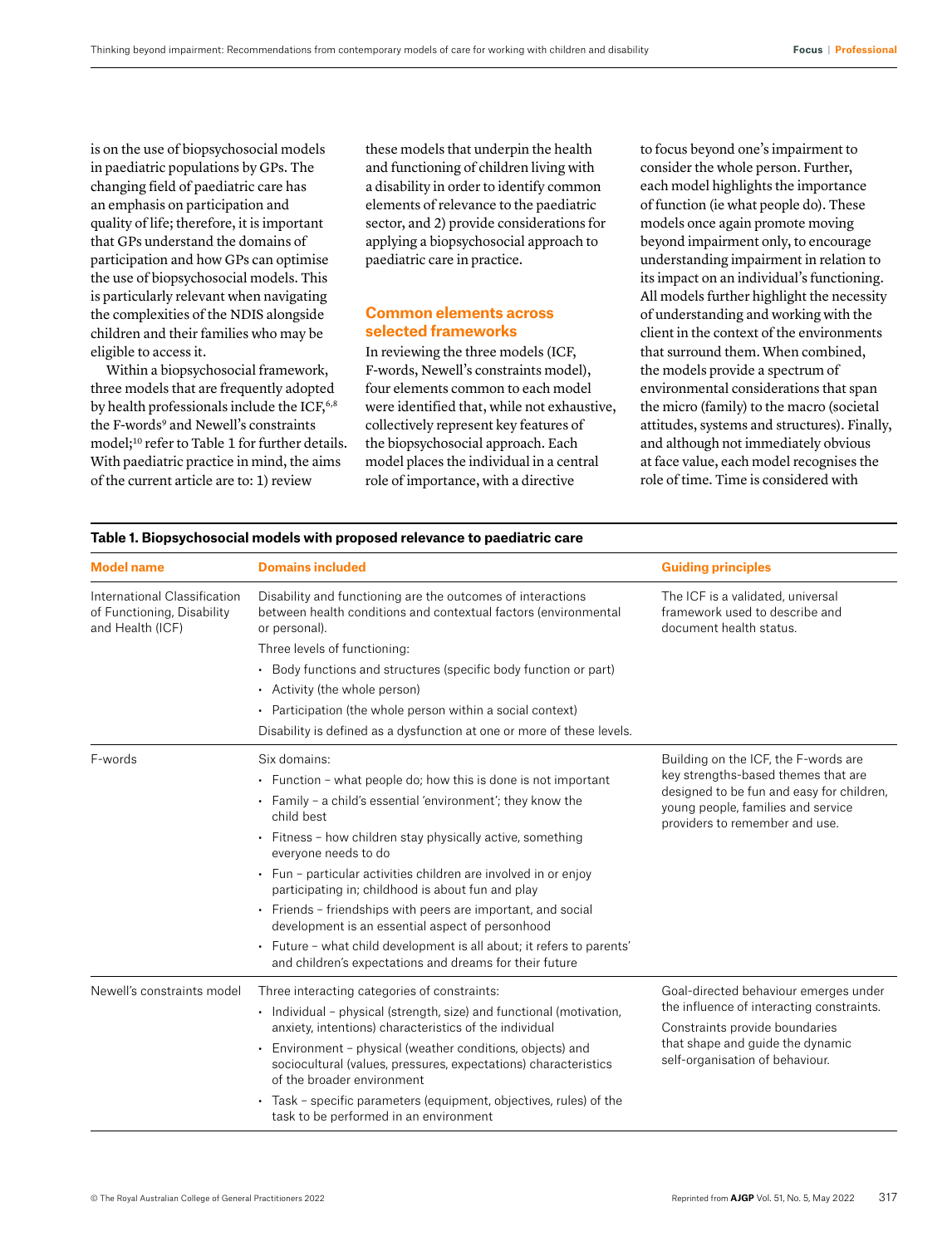is on the use of biopsychosocial models in paediatric populations by GPs. The changing field of paediatric care has an emphasis on participation and quality of life; therefore, it is important that GPs understand the domains of participation and how GPs can optimise the use of biopsychosocial models. This is particularly relevant when navigating the complexities of the NDIS alongside children and their families who may be eligible to access it.

Within a biopsychosocial framework, three models that are frequently adopted by health professionals include the ICF, $6,8$ the F-words<sup>9</sup> and Newell's constraints model;<sup>10</sup> refer to Table 1 for further details. With paediatric practice in mind, the aims of the current article are to: 1) review

these models that underpin the health and functioning of children living with a disability in order to identify common elements of relevance to the paediatric sector, and 2) provide considerations for applying a biopsychosocial approach to paediatric care in practice.

# **Common elements across selected frameworks**

In reviewing the three models (ICF, F-words, Newell's constraints model), four elements common to each model were identified that, while not exhaustive, collectively represent key features of the biopsychosocial approach. Each model places the individual in a central role of importance, with a directive

to focus beyond one's impairment to consider the whole person. Further, each model highlights the importance of function (ie what people do). These models once again promote moving beyond impairment only, to encourage understanding impairment in relation to its impact on an individual's functioning. All models further highlight the necessity of understanding and working with the client in the context of the environments that surround them. When combined, the models provide a spectrum of environmental considerations that span the micro (family) to the macro (societal attitudes, systems and structures). Finally, and although not immediately obvious at face value, each model recognises the role of time. Time is considered with

| 00001ui 1110ucio Witii proposcu reicvanoc to p                                 |                                                                                                                                                           |                                                                                                                                                                                                  |
|--------------------------------------------------------------------------------|-----------------------------------------------------------------------------------------------------------------------------------------------------------|--------------------------------------------------------------------------------------------------------------------------------------------------------------------------------------------------|
| <b>Model name</b>                                                              | <b>Domains included</b>                                                                                                                                   | <b>Guiding principles</b>                                                                                                                                                                        |
| International Classification<br>of Functioning, Disability<br>and Health (ICF) | Disability and functioning are the outcomes of interactions<br>between health conditions and contextual factors (environmental<br>or personal).           | The ICF is a validated, universal<br>framework used to describe and<br>document health status.                                                                                                   |
|                                                                                | Three levels of functioning:                                                                                                                              |                                                                                                                                                                                                  |
|                                                                                | • Body functions and structures (specific body function or part)                                                                                          |                                                                                                                                                                                                  |
|                                                                                | • Activity (the whole person)                                                                                                                             |                                                                                                                                                                                                  |
|                                                                                | • Participation (the whole person within a social context)                                                                                                |                                                                                                                                                                                                  |
|                                                                                | Disability is defined as a dysfunction at one or more of these levels.                                                                                    |                                                                                                                                                                                                  |
| F-words                                                                        | Six domains:                                                                                                                                              | Building on the ICF, the F-words are<br>key strengths-based themes that are<br>designed to be fun and easy for children,<br>young people, families and service<br>providers to remember and use. |
|                                                                                | • Function - what people do; how this is done is not important                                                                                            |                                                                                                                                                                                                  |
|                                                                                | • Family - a child's essential 'environment'; they know the<br>child best                                                                                 |                                                                                                                                                                                                  |
|                                                                                | • Fitness - how children stay physically active, something<br>everyone needs to do                                                                        |                                                                                                                                                                                                  |
|                                                                                | • Fun - particular activities children are involved in or enjoy<br>participating in; childhood is about fun and play                                      |                                                                                                                                                                                                  |
|                                                                                | • Friends - friendships with peers are important, and social<br>development is an essential aspect of personhood                                          |                                                                                                                                                                                                  |
|                                                                                | • Future - what child development is all about; it refers to parents'<br>and children's expectations and dreams for their future                          |                                                                                                                                                                                                  |
| Newell's constraints model                                                     | Three interacting categories of constraints:                                                                                                              | Goal-directed behaviour emerges under<br>the influence of interacting constraints.<br>Constraints provide boundaries<br>that shape and guide the dynamic<br>self-organisation of behaviour.      |
|                                                                                | • Individual - physical (strength, size) and functional (motivation,<br>anxiety, intentions) characteristics of the individual                            |                                                                                                                                                                                                  |
|                                                                                | Environment - physical (weather conditions, objects) and<br>sociocultural (values, pressures, expectations) characteristics<br>of the broader environment |                                                                                                                                                                                                  |
|                                                                                | • Task - specific parameters (equipment, objectives, rules) of the<br>task to be performed in an environment                                              |                                                                                                                                                                                                  |

### **Table 1. Biopsychosocial models with proposed relevance to paediatric care**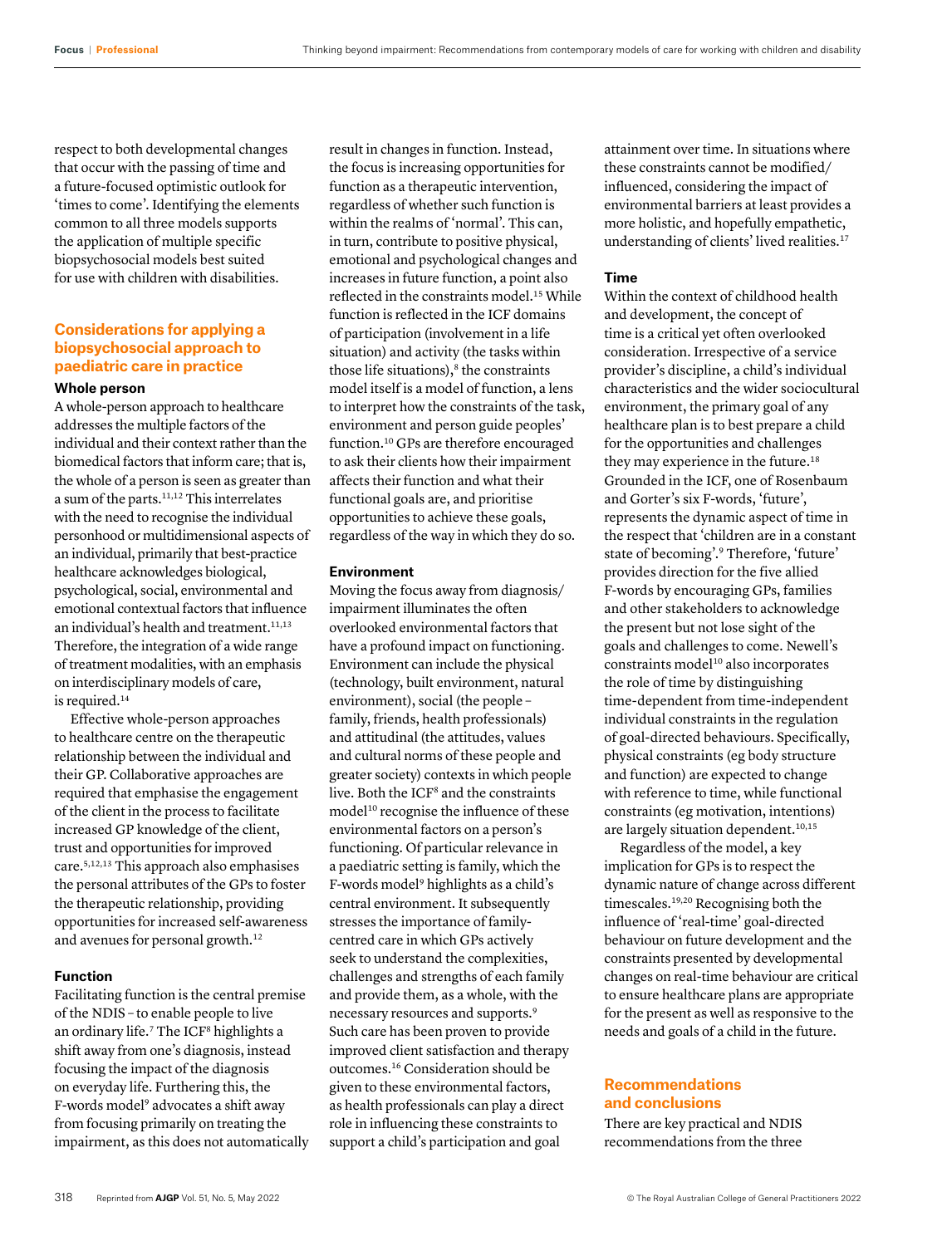respect to both developmental changes that occur with the passing of time and a future-focused optimistic outlook for 'times to come'. Identifying the elements common to all three models supports the application of multiple specific biopsychosocial models best suited for use with children with disabilities.

# **Considerations for applying a biopsychosocial approach to paediatric care in practice**

## **Whole person**

A whole-person approach to healthcare addresses the multiple factors of the individual and their context rather than the biomedical factors that inform care; that is, the whole of a person is seen as greater than a sum of the parts.11,12 This interrelates with the need to recognise the individual personhood or multidimensional aspects of an individual, primarily that best-practice healthcare acknowledges biological, psychological, social, environmental and emotional contextual factors that influence an individual's health and treatment.<sup>11,13</sup> Therefore, the integration of a wide range of treatment modalities, with an emphasis on interdisciplinary models of care, is required.<sup>14</sup>

Effective whole-person approaches to healthcare centre on the therapeutic relationship between the individual and their GP. Collaborative approaches are required that emphasise the engagement of the client in the process to facilitate increased GP knowledge of the client, trust and opportunities for improved care.5,12,13 This approach also emphasises the personal attributes of the GPs to foster the therapeutic relationship, providing opportunities for increased self-awareness and avenues for personal growth.12

## **Function**

Facilitating function is the central premise of the NDIS – to enable people to live an ordinary life.<sup>7</sup> The ICF<sup>8</sup> highlights a shift away from one's diagnosis, instead focusing the impact of the diagnosis on everyday life. Furthering this, the F-words model<sup>9</sup> advocates a shift away from focusing primarily on treating the impairment, as this does not automatically result in changes in function. Instead, the focus is increasing opportunities for function as a therapeutic intervention, regardless of whether such function is within the realms of 'normal'. This can, in turn, contribute to positive physical, emotional and psychological changes and increases in future function, a point also reflected in the constraints model.<sup>15</sup> While function is reflected in the ICF domains of participation (involvement in a life situation) and activity (the tasks within those life situations), $8$  the constraints model itself is a model of function, a lens to interpret how the constraints of the task, environment and person guide peoples' function.10 GPs are therefore encouraged to ask their clients how their impairment affects their function and what their functional goals are, and prioritise opportunities to achieve these goals, regardless of the way in which they do so.

## **Environment**

Moving the focus away from diagnosis/ impairment illuminates the often overlooked environmental factors that have a profound impact on functioning. Environment can include the physical (technology, built environment, natural environment), social (the people – family, friends, health professionals) and attitudinal (the attitudes, values and cultural norms of these people and greater society) contexts in which people live. Both the ICF<sup>8</sup> and the constraints model<sup>10</sup> recognise the influence of these environmental factors on a person's functioning. Of particular relevance in a paediatric setting is family, which the F-words model<sup>9</sup> highlights as a child's central environment. It subsequently stresses the importance of familycentred care in which GPs actively seek to understand the complexities, challenges and strengths of each family and provide them, as a whole, with the necessary resources and supports.9 Such care has been proven to provide improved client satisfaction and therapy outcomes.16 Consideration should be given to these environmental factors, as health professionals can play a direct role in influencing these constraints to support a child's participation and goal

attainment over time. In situations where these constraints cannot be modified/ influenced, considering the impact of environmental barriers at least provides a more holistic, and hopefully empathetic, understanding of clients' lived realities.<sup>17</sup>

#### **Time**

Within the context of childhood health and development, the concept of time is a critical yet often overlooked consideration. Irrespective of a service provider's discipline, a child's individual characteristics and the wider sociocultural environment, the primary goal of any healthcare plan is to best prepare a child for the opportunities and challenges they may experience in the future.<sup>18</sup> Grounded in the ICF, one of Rosenbaum and Gorter's six F-words, 'future', represents the dynamic aspect of time in the respect that 'children are in a constant state of becoming'.9 Therefore, 'future' provides direction for the five allied F-words by encouraging GPs, families and other stakeholders to acknowledge the present but not lose sight of the goals and challenges to come. Newell's constraints model<sup>10</sup> also incorporates the role of time by distinguishing time-dependent from time-independent individual constraints in the regulation of goal-directed behaviours. Specifically, physical constraints (eg body structure and function) are expected to change with reference to time, while functional constraints (eg motivation, intentions) are largely situation dependent.<sup>10,15</sup>

Regardless of the model, a key implication for GPs is to respect the dynamic nature of change across different timescales.19,20 Recognising both the influence of 'real-time' goal-directed behaviour on future development and the constraints presented by developmental changes on real-time behaviour are critical to ensure healthcare plans are appropriate for the present as well as responsive to the needs and goals of a child in the future.

## **Recommendations and conclusions**

There are key practical and NDIS recommendations from the three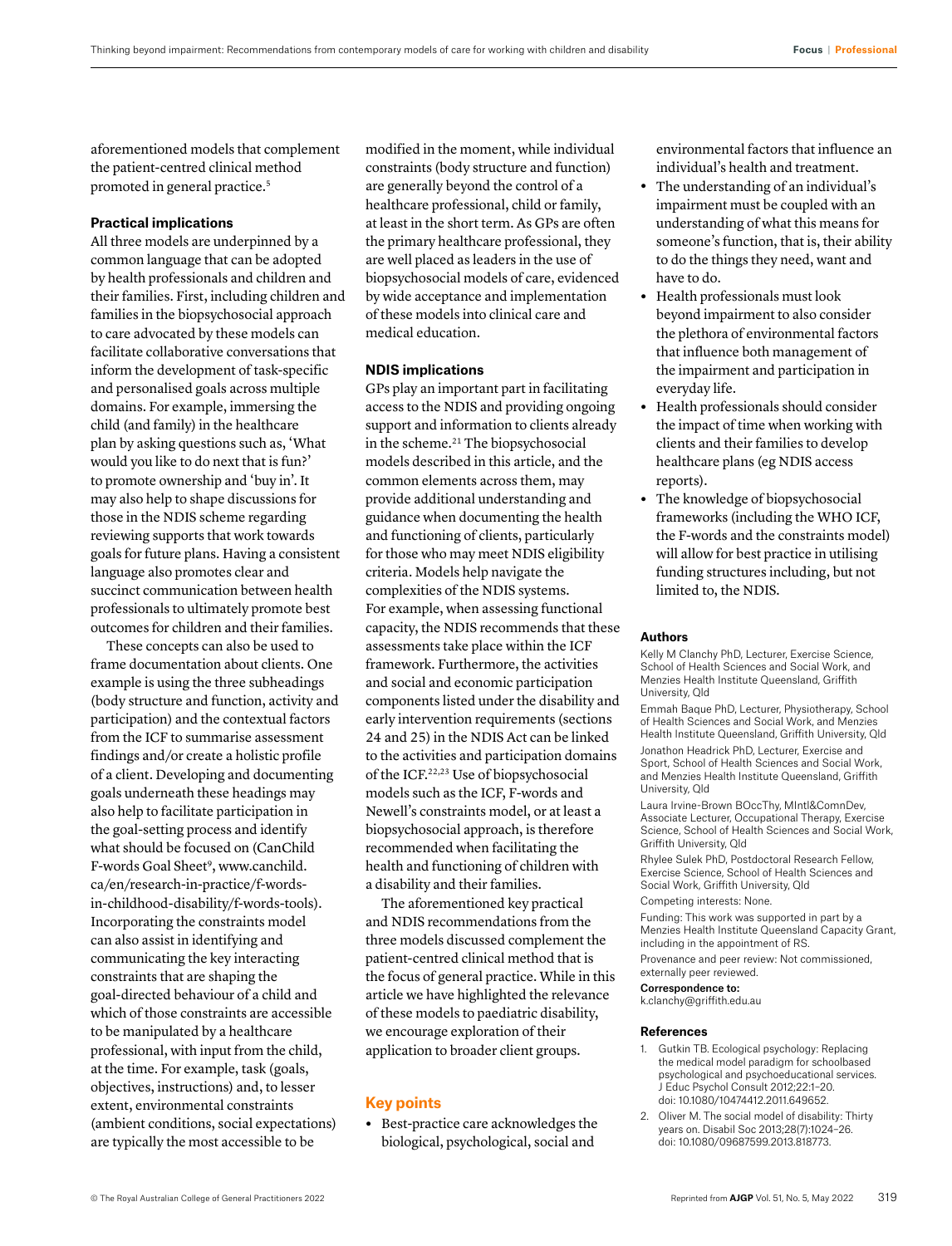aforementioned models that complement the patient-centred clinical method promoted in general practice.<sup>5</sup>

### **Practical implications**

All three models are underpinned by a common language that can be adopted by health professionals and children and their families. First, including children and families in the biopsychosocial approach to care advocated by these models can facilitate collaborative conversations that inform the development of task-specific and personalised goals across multiple domains. For example, immersing the child (and family) in the healthcare plan by asking questions such as, 'What would you like to do next that is fun?' to promote ownership and 'buy in'. It may also help to shape discussions for those in the NDIS scheme regarding reviewing supports that work towards goals for future plans. Having a consistent language also promotes clear and succinct communication between health professionals to ultimately promote best outcomes for children and their families.

These concepts can also be used to frame documentation about clients. One example is using the three subheadings (body structure and function, activity and participation) and the contextual factors from the ICF to summarise assessment findings and/or create a holistic profile of a client. Developing and documenting goals underneath these headings may also help to facilitate participation in the goal-setting process and identify what should be focused on (CanChild F-words Goal Sheet<sup>9</sup>, [www.canchild.](http://www.canchild.ca/en/research-in-practice/f-words-in-childhood-disability/f-words-tools) [ca/en/research-in-practice/f-words](http://www.canchild.ca/en/research-in-practice/f-words-in-childhood-disability/f-words-tools)[in-childhood-disability/f-words-tools](http://www.canchild.ca/en/research-in-practice/f-words-in-childhood-disability/f-words-tools)). Incorporating the constraints model can also assist in identifying and communicating the key interacting constraints that are shaping the goal-directed behaviour of a child and which of those constraints are accessible to be manipulated by a healthcare professional, with input from the child, at the time. For example, task (goals, objectives, instructions) and, to lesser extent, environmental constraints (ambient conditions, social expectations) are typically the most accessible to be

modified in the moment, while individual constraints (body structure and function) are generally beyond the control of a healthcare professional, child or family, at least in the short term. As GPs are often the primary healthcare professional, they are well placed as leaders in the use of biopsychosocial models of care, evidenced by wide acceptance and implementation of these models into clinical care and medical education.

## **NDIS implications**

GPs play an important part in facilitating access to the NDIS and providing ongoing support and information to clients already in the scheme.<sup>21</sup> The biopsychosocial models described in this article, and the common elements across them, may provide additional understanding and guidance when documenting the health and functioning of clients, particularly for those who may meet NDIS eligibility criteria. Models help navigate the complexities of the NDIS systems. For example, when assessing functional capacity, the NDIS recommends that these assessments take place within the ICF framework. Furthermore, the activities and social and economic participation components listed under the disability and early intervention requirements (sections 24 and 25) in the NDIS Act can be linked to the activities and participation domains of the ICF.22,23 Use of biopsychosocial models such as the ICF, F-words and Newell's constraints model, or at least a biopsychosocial approach, is therefore recommended when facilitating the health and functioning of children with a disability and their families.

The aforementioned key practical and NDIS recommendations from the three models discussed complement the patient-centred clinical method that is the focus of general practice. While in this article we have highlighted the relevance of these models to paediatric disability, we encourage exploration of their application to broader client groups.

## **Key points**

**•** Best-practice care acknowledges the biological, psychological, social and

environmental factors that influence an individual's health and treatment.

- **•** The understanding of an individual's impairment must be coupled with an understanding of what this means for someone's function, that is, their ability to do the things they need, want and have to do.
- **•** Health professionals must look beyond impairment to also consider the plethora of environmental factors that influence both management of the impairment and participation in everyday life.
- **•** Health professionals should consider the impact of time when working with clients and their families to develop healthcare plans (eg NDIS access reports).
- **•** The knowledge of biopsychosocial frameworks (including the WHO ICF, the F-words and the constraints model) will allow for best practice in utilising funding structures including, but not limited to, the NDIS.

#### **Authors**

Kelly M Clanchy PhD, Lecturer, Exercise Science, School of Health Sciences and Social Work, and Menzies Health Institute Queensland, Griffith University, Qld

Emmah Baque PhD, Lecturer, Physiotherapy, School of Health Sciences and Social Work, and Menzies Health Institute Queensland, Griffith University, Qld

Jonathon Headrick PhD, Lecturer, Exercise and Sport, School of Health Sciences and Social Work, and Menzies Health Institute Queensland, Griffith University, Qld

Laura Irvine-Brown BOccThy, MIntl&ComnDev, Associate Lecturer, Occupational Therapy, Exercise Science, School of Health Sciences and Social Work, Griffith University, Qld

Rhylee Sulek PhD, Postdoctoral Research Fellow, Exercise Science, School of Health Sciences and Social Work, Griffith University, Qld

#### Competing interests: None.

Funding: This work was supported in part by a Menzies Health Institute Queensland Capacity Grant, including in the appointment of RS.

Provenance and peer review: Not commissioned, externally peer reviewed.

#### Correspondence to:

[k.clanchy@griffith.edu.au](mailto:k.clanchy@griffith.edu.au)

#### **References**

- 1. Gutkin TB. Ecological psychology: Replacing the medical model paradigm for schoolbased psychological and psychoeducational services. J Educ Psychol Consult 2012;22:1–20. doi: 10.1080/10474412.2011.649652.
- 2. Oliver M. The social model of disability: Thirty years on. Disabil Soc 2013;28(7):1024–26. doi: 10.1080/09687599.2013.818773.